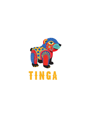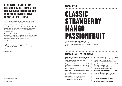### WE'VE INVESTED A LOT OF TIME RESEARCHING AND TESTING WEIRD AND WONDERFUL RECIPES FOR YOU TO ENJOY IN THE LITTLE SLICE OF HEAVEN THAT IS TINGA!

Freshly made cocktails ranging from frozen margaritas to our signature specialities, all crafted to tickle your taste buds and take you on a journey to Latin America.

We also have an impressive array of popular and artisanal Mezcals and Tequila for you to try some of the best Agave from Mexico. These are best enjoyed the Mexican way, served straight up to sip and savour.

Along with Mexican delights on the menu, you can also order the usual classics and mocktails from our talented bar team. We spend a lot of time training the team and only use premium ingredients in our drinks to ensure you get the best every time!

**¡Salud!**

Timee & Dane

Owners, Tinga

#### V – Suitable for vegetarians Ve – Vegan GF – Gluten free

# MARGARITAS

# CLASSIC STRAWBERRY MANGO PASSIONFRUIT

Choose from **Frozen** or **On the Rocks**. Tinga's speciality. A blend of El Jimador Tequila Blanco, triple sec, fresh lime and a flavour of your choice from the list above. **£8.75 each**

# MARGARITAS – ON THE ROCKS

**Cucumber & Jalapeño Margarita £9.00** A refreshing blend of El Jimador Tequila Blanco, triple sec, cucumber and fresh lime with a hint of jalapeño spice.

**Ginger & Lime Margarita £8.50** This margarita is a zingy mix of El Jimador Tequila Blanco, triple sec, fresh lime, ginger cordial, apple juice and simple syrup.

**Pineapple & Cinnamon Margarita £8.75**

Sweet and gently spiced, our Pineapple and Cinnamon margarita is a staff favourite. Fresh pineapple, cinnamon syrup, El Jimador Tequila Blanco, triple sec and a generous measure of fresh lime make up this wonderfully interesting margarita.

#### **Porn Star Margarita £8.50** Everyone's favourite cocktail with a twist! El Jimador Tequila Blanco, triple sec, fresh lime, vanilla syrup and passion fruit syrup.

**Spicy Tomato Margarita £8.00** Mexican twist on a bloody Mary! Homemade tomato juice, El Jimador Tequila Blanco, chilli, triple sec, and fresh lime.

**St Germain Mint Margarita £9.00** El Jimador Tequila Blanco shaken with St-Germain Elderflower Liqueur, fresh lime and agave syrup finished with a sprig of mint.

**All of our cocktails can be made non-alcoholic. Let your server know if you'd like it Sobrio style.**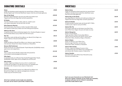# SIGNATURE COCKTAILS

<u>. . . . . . . . . .</u>

| <b>Daisy</b><br>A light and refreshing cocktail inspired by the national flower of Mexico; the daisy.<br>Bombay Sapphire gin, St Germain Elderflower Liqueur, fresh lime and cloudy apple juice.                    | £9.00  |
|---------------------------------------------------------------------------------------------------------------------------------------------------------------------------------------------------------------------|--------|
| Day of the Dead<br>El Jimador Tequila Reposado, lime juice and vanilla syrup shaken hard.<br>Topped with Fevertree Ginger Beer and half a passionfruit.                                                             | £10.50 |
| <b>El Diablo</b><br>The devil. Finlandia Cranberry vodka, triple sec, cranberry juice<br>and a splash of grenadine. Served with fresh red chilli.                                                                   | £8.00  |
| <b>Elite Espresso Martini</b><br>Smooth and sweet, Grey Goose La Vanille, Cazcabel Coffee tequila<br>and a splash of vanilla syrup, shaken hard with freshly ground espresso.                                       | £12.95 |
| <b>Hibiscus Gin Sour</b><br>A long floral drink crafted with Bombay Sapphire Gin, Chambord Raspberry Liqueur<br>and homemade hibiscus syrup, shaken hard with lemon juice.                                          | £9.50  |
| Mai Tai<br>A tiki classic made with Barcadí Carta Blanca rum, Bacardi Carta Negra rum,<br>Orgeat, triple sec, lime juice and simple syrup.                                                                          | £8.25  |
| Mojito<br>Simple and delicious. Barcadí Carta Blanca rum, demerara sugar, fresh lime,<br>mint and soda. Choose from; Classic, Strawberry or Passionfruit.                                                           | £8.00  |
| <b>Oaxaca Old Fashioned</b><br>Slowly stirred over ice to blend El Jimador Tequila Reposado, QuiQuRiQui mezcal,<br>agave nectar and orange bitters.                                                                 | £8.50  |
| Pasión<br>This is a sweet and juicy Raicilla cocktail made with passionfruit<br>and strawberry syrup, pineapple and lime juice.                                                                                     | £12.50 |
| Piña Agria<br>A sweet and smoky mix of Rooster Rojo Smoked Pineapple Añejo Tequila,<br>QuiQuiRiQui mezcal, agave nectar, pineapple juice and lime juice.                                                            | £12.50 |
| Piña Colada<br>A classic. A generous helping of coconut crème is complimented<br>with Barcadí Carta Blanca rum, Barcadí Coconut rum, pineapple juice<br>and coconut milk. Choose to have a classic or frozen serve. | €9.00  |
| <b>Zombie</b><br>Not for the faint hearted! A serious mix of Barcadí Carta Blanca rum,<br>Barcadí Carta Negra rum, triple sec, pineapple juice, lime juice,<br>simple syrup and maraschino syrup.                   | £9.50  |
|                                                                                                                                                                                                                     |        |

# **MOCKTAILS**

| £6.50<br><b>Sobrio Daisy</b><br>A light and refreshing cocktail inspired by the national flower<br>of Mexico, the daisy. Lyres London Dry, elderflower syrup,<br>fresh lime and cloudy apple juice.                                  |  |
|--------------------------------------------------------------------------------------------------------------------------------------------------------------------------------------------------------------------------------------|--|
| £6.50<br><b>Sobrio Day of the Dead</b><br>Lyres Agave Reserva, lime juice and vanilla syrup shaken hard.<br>Topped with Fevertree Ginger Beer and half a passionfruit.                                                               |  |
| <b>Sobrio El Diablo</b><br>£5.95<br>A sweet and spicy mocktail made with Strykk NOT V*DKA,<br>cranberry juice, triple sec syrup and chillies.                                                                                        |  |
| Sobrio Mai Tai<br>£6.95<br>A tiki classic made with out the booze; Lyres Dark Cane,<br>Lyres White Cane, Orgeat, lime juice and triple sec syrup.                                                                                    |  |
| £6.95<br>Sobrio Margarita<br>Frozen or On the Rocks.<br>Tinga's speciality. A blend of Lyres Agave Blanco,<br>triple sec syrup, fresh lime and a flavour of your choice.<br>Choose from: Classic, Strawberry, Mango or Passionfruit. |  |
| <b>Sobrio Mojito</b><br>£7.00<br>Simple and delicious. Lyres White Cane,<br>demerara sugar, fresh lime, mint and soda.<br>Choose from: Classic, Strawberry or Passionfruit.                                                          |  |
| Sobrio Piña Colada<br>£7.95<br>A classic. A generous helping of coconut crème<br>is complimented with Lyres White Cane, pineapple juice<br>and coconut milk. Choose a classic or frozen serve.                                       |  |
| <b>Sobrio Zombie</b><br>£7.95<br>Lyres Dark Cane, Lyres White Cane, Maraschino syrup,<br>lime juice and simple syrup.                                                                                                                |  |

**Can't see your favourite on our Mocktails list? All of our regular cocktails can be made non-alcoholic, so please ask your server if there's something you'd like made Sobrio style.**

**All of our cocktails can be made non-alcoholic. Let your server know if you'd like it Sobrio style.**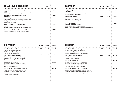| <b>CHAMPAGNE &amp; SPARKLING</b>                                                                                                                                                                                                                                   |       | 125ml        | <b>Bottle</b> |
|--------------------------------------------------------------------------------------------------------------------------------------------------------------------------------------------------------------------------------------------------------------------|-------|--------------|---------------|
| Alberto Nanin Prosecco Brut 'Organic'<br><b>Italy</b><br>DOC. Crisp with floral notes, nicely savory and complex.                                                                                                                                                  |       | £5.95        | £25.95        |
| <b>Chandon Argentina Sparkling Wine</b><br>Argentina<br>Chandon Argentina was Moët & Chandon's first vineyard<br>outside of France. Made by Méthode Traditionelle, the fizz<br>develops in the bottle the wine is finally poured from,<br>as it is with Champagne. |       |              | £29.95        |
| Moët & Chandon Brut Impérial NV<br><b>France</b><br>Bright fruitiness, seductive palate and elegant maturity.                                                                                                                                                      |       |              | £55.95        |
| <b>Laurent-Perrier Cuvée Rosé Brut NV</b><br>Unquestionably the most popular rosé champagne.                                                                                                                                                                       |       |              | £79.95        |
| WHITE WINE                                                                                                                                                                                                                                                         | 175ml | <b>250ml</b> | <b>Bottle</b> |
| <b>L.A. Cetto Chenin Blanc</b>                                                                                                                                                                                                                                     | £4.95 | £6.95        | £21.95        |
| Honeyed citrus and tropical fruits.<br>Off dry, crisp and refreshing.<br>Pairs well with our chicken dishes.                                                                                                                                                       |       |              |               |
| <b>L.A. Cetto Sauvignon Blanc</b><br>Easy drinking, characterful wine. Soft, juicy citrus<br>notes with hints of warm exotic stone fruits.<br>Especially delicious with our prawn and fish tacos.                                                                  | £5.65 | £7.45        | £23.95        |
| L.A. Cetto Chardonnay<br>Fruity palate with good texture and balance.<br>Refreshing citrus and tropical aromas, including<br>luscious pineapple and guava.                                                                                                         |       |              | £25.95        |

| <b>ROSÉ WINE</b>                                                                                                                                                                                                               | 175ml | <b>250ml</b> | <b>Bottle</b> |
|--------------------------------------------------------------------------------------------------------------------------------------------------------------------------------------------------------------------------------|-------|--------------|---------------|
| <b>Rugged Ridge Zinfandel Rosé</b><br><b>California</b><br>Medium-sweet pink with sweet raspberry,<br>watermelon and strawberry fruit.                                                                                         | £4.95 | £6.95        | £21.95        |
| <b>Vol D'anima Raimat</b><br><b>Spain</b><br>Medium pink with citrus aromas,<br>exotic flavours and notes of peach.                                                                                                            | £6.15 | £8.15        | £24.95        |
| <b>M De Minuty Rosé</b><br>Côtes de Provence, France<br>Tinga's favourite rosé! Pale pink, aromatic and fresh<br>Notes of peach, candied orange and red summer berries.                                                        |       |              | £39.95        |
|                                                                                                                                                                                                                                |       |              |               |
| <b>RED WINE</b>                                                                                                                                                                                                                | 175ml | <b>250ml</b> | Bottle        |
| <b>L.A. Cetto Cabernet Sauvignon</b><br>An abundance of smooth, rich, black fruit<br>on the palate with great texture.<br>Especially delicious with our prawn and fish tacos.                                                  | £4.95 | £6.95        | £21.95        |
| <b>L.A. Cetto Cabernet Malbec</b><br>Lots of red fruit aromas with subtle vanilla and spice.<br>Delightful with our cheese dishes.                                                                                             | £5.65 | £7.45        | £23.95        |
| <b>L.A. Cetto Zinfandel</b><br>Intense aromas of strawberry, raspberry and<br>blackberry, balanced with subtle vanilla. Oak<br>aged for a year, and 6 months in the bottle.<br>Pairs exceptionally well with our steak dishes. |       |              | £25.95        |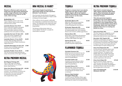### MEZCAL

**Mezcal is a Mexican spirit and can be made from any agave plant allowing for a wider range in flavours than tequila. Recommend serve is neat or on the rocks. 25ml servings.** 

#### **QuiQuiRiQui 45% £4.50**

Made in Matatlan, known as the world capital of Mezcal. Sweet, earthy, smoky and stone fruits to finish.

**Leyendas Oaxaca 7yrs 47.5% £6.00** From a small town located on the gentle slopes of the Sierra Madre of Oaxaca. This mezcal holds a diversity of aromas and flavours from citrus peels to minerals.

**Leyendas San Luis 10-12yrs 42% £6.00** Take in the aromas of jalapeños and spinach from a mezcal like no other.

**Leyendas Guerro 13+yrs 46.9% £6.50** A sweet, fleshy and deep mezcal that comes from the Sierra Madre mountainous range of Guerrero.

**Leyendas Durrango 10-13yrs 47% £7.00** A hearty, warm, full bodied mezcal that comes from rich volcanic fields.

**Leyendas Puebla 13+yrs 48.2% £7.00** This rich and earthy mezcal expresses the unique characteristics of the region of Puebla.

# ULTRA PREMIUM MEZCAL

**Del Maguey Pechuga 49% £24.25** This is a wild, super-rare Mezcal,

unlike anything else. A nose of basil, lemon, ocean, and fruit.

**Clase Azul Mezcal Durango 44% £43.00**

Character, distinction, and beauty in one piece. The combination of mineral-rich soil and water from natural springs give it a distinctive and smoky character with complex flavour notes.

# HOW MEZCAL IS MADE?

**The process begins by growing an agave plant which can take anywhere between 7 and 30 years.**

Once harvested, the piña (body of the agave) is then slow roasted in stone pit for 4 days in order to bring out its natural sugars.

When sufficient time has passed, traditionally the roasted piña is crushed by horse drawn stone tahona. The milled piña is then mixed with water and allowed to ferment for 4 to 14 days before being distilled.

The final part of the process relies on a worker dubbed 'The Drunk' to sample the mezcal before its bottled.

### TEQUILA

 $\ddot{\phantom{a}}$ 

**Tequila is a mezcal, but it can only be made from one type of agave called 'Weber Agave'. All of our tequila's originate from Mexico. Recommended serve is neat or on the rocks. 25ml servings.**

| <b>El Jimador Blanco 38%</b>            | £3.60 |
|-----------------------------------------|-------|
| Made with 100% hand-harvested blue      |       |
| Weber agave and double distilled.       |       |
| Crisp and buzzing with citrus flavours. |       |
|                                         |       |

**El Jimador Reposado 38% £3.60** Naturally fermented and double distilled. An exquisite golden tone, warm seasoned flavours and a smooth, confident agave flavour.

#### Patron Silver 40% **£6.95**

Patron Silver is the perfect ultra-premium Tequila. Handmade in small batches from the finest 100% Webber blue agave.

#### **Patron Anejo 40% £8.45**

Oak aged for over 12 months to produce the perfect sipping tequila.

### FLAVOURED TEQUILA

| <b>Cazcabel Coconut 34%</b>               | £3.50 |
|-------------------------------------------|-------|
| alisco's coconuts are prized all over the |       |
| world. The succulent sweetness of the     |       |
| coconuts are blended with the earthy      |       |
| tones of Cazcabel Blanco.                 |       |
|                                           |       |

#### **Cazcabel Coffee 34% £3.50** A sweet hit of luxury Mexican arabica coffee blended with the fresh, earthy base of Cazcabel Blanco.

**Cazcabel Honey 34% £3.50** With the fresh, earthy and dry blanco at its heart, Cazcabel honey adds a dose of sweet Manuka and Yukatan nectar to the blend.

**Rooster Rojo Smoked £3.75 Pineapple Añejo 38%**

12 month matured 100% Blue Weber agave infused with smoked red Spanish pineapples. Brimming with tropical fruit and gentle smoke.

# ULTRA PREMIUM TEQUILA

**Clase Azul is created using only 100% organic tequilana Weber Blue agaves. Once harvested, the agaves are cooked in old-fashioned brick ovens for 72 hours.**

**This ultra-premium tequila is produced in one of the highest points of Los Altos, the town of Jesus Maria, resulting in a very unique flavour. The bottles are handcrafted in Santa Maria Canchesda, where over 100 artisans dedicate their lives to creating one bottle at a time.**

| <b>Clase Azul Plata 40%</b>                      | £14.00 |
|--------------------------------------------------|--------|
| This silver tequila has a delightfully smooth    |        |
| flavour with a pleasant hint of sweetness,       |        |
| followed by herbal and citric notes. Enjoy neat. |        |

**Don Julio 1942 Tequila 38% £20.00** Produced in small batches and aged for a minimum of 2 and a half years, a tequila respected by connoisseurs around the world. Hand crafted in tribute to the year that the great Don Julio González began his tequila making journey.

#### **Clase Azul Reposado 40% £22.00** An ultra-premium reposado tequila made with slow cooked agave to obtain a deep richness of flavours. The tequila is then distilled. After this it is aged for 8 months in hand selected oak barrels. This process results in a superb, smooth taste which exceeds expectations with each sip.

| <b>Clase Azul Añejo 40%</b>                  | £75.00 |
|----------------------------------------------|--------|
| An ultra-premium Tequila, made from          |        |
| 100% nine-year-old traditionally roasted     |        |
| agave, rested for 25 months, and packaged in |        |
| a traditional Talavera-style decanter with a |        |
| 24-carat gold charm on the neck.             |        |
|                                              |        |

**Clase Azul Reposado £125.00 Miniature 20cl 40%**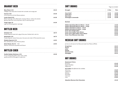### DRAUGHT BEER

| <b>Blue Moon 5.2%</b>                                                                                                                                                           | £5.25 |
|---------------------------------------------------------------------------------------------------------------------------------------------------------------------------------|-------|
| A Belgian style wheat beer brewed with coriander and orange peel.                                                                                                               |       |
| Corona 4.6%<br>A firm favourite of all the Mexican pilsners.                                                                                                                    | £5.50 |
| <b>Lucky Saint 0.5%</b><br>Pilsner style lager, left unfiltered for maximum flavour, without the alcohol.<br>Biscuity malts and a citrus hop finish, only 91 calories per pint. | £4.50 |
| <b>Tinga Lager 4%</b><br>Light and refreshing pilsner style lager.                                                                                                              | £4.50 |

# BOTTLED BEER

| Chelada 4.5%<br>Modelo Especial mixed with a glug of lime juice, finished with a salt rim.             | £6.75 |
|--------------------------------------------------------------------------------------------------------|-------|
| Michelada 4.5%<br>Modelo Especial, tomato fresca juice, lime juice and a dash of Worcestershire sauce. | £6.75 |
| <b>Modelo Especial 4.5%</b><br>Rich, full flavoured, classic Mexican pilsner.                          | £4.95 |
| <b>Ocho Reales Ale 5% VGF</b><br>Mexican craft brown ale packed with flavour.                          | £4.95 |
|                                                                                                        |       |

# BOTTLED CIDER

**Sxollie Golden Delicious 4.5% £5.50** A very inviting pale golden colour with a subtle sparkle and hint of the apple it's made from.

# SOFT DRINKS

\*Sugar tax included

| <b>Draught</b>                                                                                                                                                                                  | $\frac{1}{2}$ Pint | <b>Pint</b> |
|-------------------------------------------------------------------------------------------------------------------------------------------------------------------------------------------------|--------------------|-------------|
| Coca Cola*                                                                                                                                                                                      | £1.50              | £3.00       |
| <b>Coke Zero</b>                                                                                                                                                                                | £1.40              | £2.80       |
| <b>Diet Coke</b>                                                                                                                                                                                | £1.40              | £2.80       |
| <b>Schweppes Lemonade</b>                                                                                                                                                                       | £1.40              | £2.80       |
| <b>Bottled</b>                                                                                                                                                                                  |                    |             |
| <b>Hildon Sparkling Mineral Water - Small</b>                                                                                                                                                   |                    | £1.50       |
| <b>Hildon Sparkling Mineral Water - Large</b>                                                                                                                                                   |                    |             |
|                                                                                                                                                                                                 |                    | £3.50       |
|                                                                                                                                                                                                 |                    | £1.50       |
|                                                                                                                                                                                                 |                    | €3.50       |
|                                                                                                                                                                                                 |                    | £2.50       |
|                                                                                                                                                                                                 |                    | £2.50       |
| Hildon Still Mineral Water - Small<br>Hildon Still Mineral Water - Large<br><b>Fever-Tree Ginger Beer</b><br><b>Fever-Tree Indian Tonic Water</b><br><b>Fever-Tree Light Indian Tonic Water</b> |                    | £2.50       |

# MEXICAN SOFT DRINKS

Jarritos are all-natural, fruit flavoured sodas from Mexico (370ml).

| Grapefruit          | £3.25 |
|---------------------|-------|
| Guava               | £3.25 |
| Lime                | £3.25 |
| <b>Mango</b>        | £3.25 |
| <b>Mexican Cola</b> | £3.25 |
| <b>Pineapple</b>    | £3.25 |

### HOT DRINKS

. . . . . . . . . . . . .

| <b>Dammann Frères</b>                             |       |
|---------------------------------------------------|-------|
| Earl Grey                                         | £2.40 |
| English Breakfast                                 | £2.40 |
| Peppermint                                        | £2.40 |
| <b>illy Coffee</b> (Decaffeinated also available) |       |
| Americano                                         | £2.60 |
| Cappuccino                                        | £2.80 |
| Espresso                                          | £2.30 |
| <b>Flat White</b>                                 | £2.60 |
| Iced Latte                                        | £3.25 |
| Latte                                             | £2.80 |
| <b>Abuelita Mexican Hot Chocolate</b>             | £3.20 |